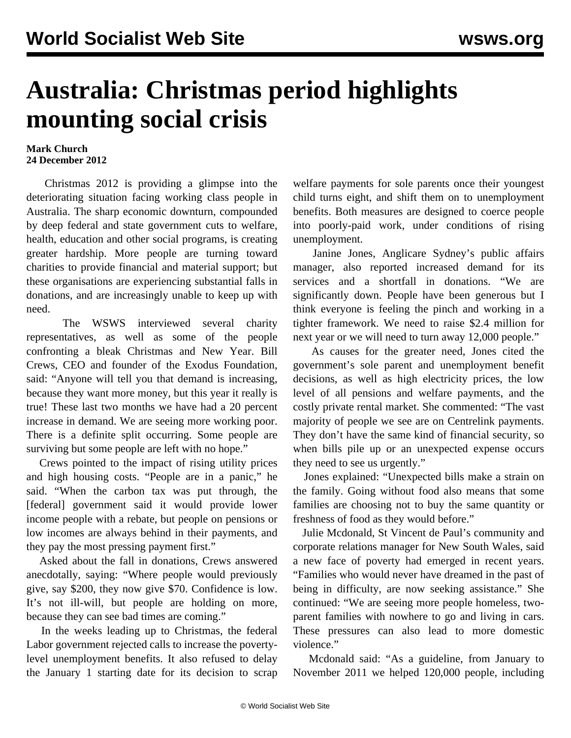## **Australia: Christmas period highlights mounting social crisis**

## **Mark Church 24 December 2012**

 Christmas 2012 is providing a glimpse into the deteriorating situation facing working class people in Australia. The sharp economic downturn, compounded by deep federal and state government cuts to welfare, health, education and other social programs, is creating greater hardship. More people are turning toward charities to provide financial and material support; but these organisations are experiencing substantial falls in donations, and are increasingly unable to keep up with need.

 The WSWS interviewed several charity representatives, as well as some of the people confronting a bleak Christmas and New Year. Bill Crews, CEO and founder of the Exodus Foundation, said: "Anyone will tell you that demand is increasing, because they want more money, but this year it really is true! These last two months we have had a 20 percent increase in demand. We are seeing more working poor. There is a definite split occurring. Some people are surviving but some people are left with no hope."

 Crews pointed to the impact of rising utility prices and high housing costs. "People are in a panic," he said. "When the carbon tax was put through, the [federal] government said it would provide lower income people with a rebate, but people on pensions or low incomes are always behind in their payments, and they pay the most pressing payment first."

 Asked about the fall in donations, Crews answered anecdotally, saying: "Where people would previously give, say \$200, they now give \$70. Confidence is low. It's not ill-will, but people are holding on more, because they can see bad times are coming."

 In the weeks leading up to Christmas, the federal Labor government rejected calls to increase the povertylevel unemployment benefits. It also refused to delay the January 1 starting date for its decision to scrap

welfare payments for sole parents once their youngest child turns eight, and shift them on to unemployment benefits. Both measures are designed to coerce people into poorly-paid work, under conditions of rising unemployment.

 Janine Jones, Anglicare Sydney's public affairs manager, also reported increased demand for its services and a shortfall in donations. "We are significantly down. People have been generous but I think everyone is feeling the pinch and working in a tighter framework. We need to raise \$2.4 million for next year or we will need to turn away 12,000 people."

 As causes for the greater need, Jones cited the government's sole parent and unemployment benefit decisions, as well as high electricity prices, the low level of all pensions and welfare payments, and the costly private rental market. She commented: "The vast majority of people we see are on Centrelink payments. They don't have the same kind of financial security, so when bills pile up or an unexpected expense occurs they need to see us urgently."

 Jones explained: "Unexpected bills make a strain on the family. Going without food also means that some families are choosing not to buy the same quantity or freshness of food as they would before."

 Julie Mcdonald, St Vincent de Paul's community and corporate relations manager for New South Wales, said a new face of poverty had emerged in recent years. "Families who would never have dreamed in the past of being in difficulty, are now seeking assistance." She continued: "We are seeing more people homeless, twoparent families with nowhere to go and living in cars. These pressures can also lead to more domestic violence."

 Mcdonald said: "As a guideline, from January to November 2011 we helped 120,000 people, including